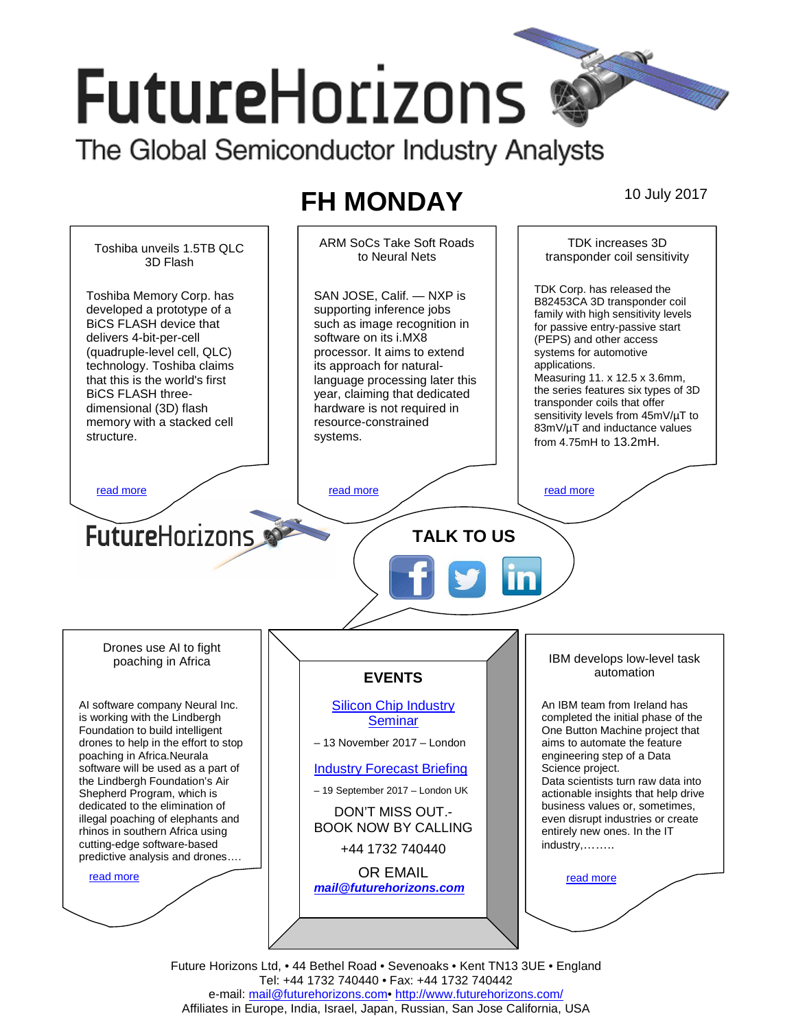# **FutureHorizons**

The Global Semiconductor Industry Analysts

## **FH MONDAY** 10 July 2017



Future Horizons Ltd, • 44 Bethel Road • Sevenoaks • Kent TN13 3UE • England Tel: +44 1732 740440 • Fax: +44 1732 740442 e-mail: mail@futurehorizons.com• http://www.futurehorizons.com/ Affiliates in Europe, India, Israel, Japan, Russian, San Jose California, USA